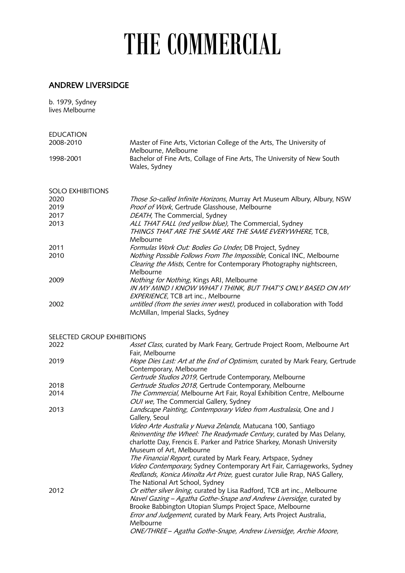## THE COMMERCIAL

## ANDREW LIVERSIDGE

| b. 1979, Sydney<br>lives Melbourne |                                                                                                                                                                                                                                                                                                                                                                                                                                                                                                          |
|------------------------------------|----------------------------------------------------------------------------------------------------------------------------------------------------------------------------------------------------------------------------------------------------------------------------------------------------------------------------------------------------------------------------------------------------------------------------------------------------------------------------------------------------------|
| <b>EDUCATION</b>                   |                                                                                                                                                                                                                                                                                                                                                                                                                                                                                                          |
| 2008-2010                          | Master of Fine Arts, Victorian College of the Arts, The University of<br>Melbourne, Melbourne                                                                                                                                                                                                                                                                                                                                                                                                            |
| 1998-2001                          | Bachelor of Fine Arts, Collage of Fine Arts, The University of New South<br>Wales, Sydney                                                                                                                                                                                                                                                                                                                                                                                                                |
| <b>SOLO EXHIBITIONS</b>            |                                                                                                                                                                                                                                                                                                                                                                                                                                                                                                          |
| 2020                               | Those So-called Infinite Horizons, Murray Art Museum Albury, Albury, NSW                                                                                                                                                                                                                                                                                                                                                                                                                                 |
| 2019                               | Proof of Work, Gertrude Glasshouse, Melbourne                                                                                                                                                                                                                                                                                                                                                                                                                                                            |
| 2017                               | DEATH, The Commercial, Sydney                                                                                                                                                                                                                                                                                                                                                                                                                                                                            |
| 2013                               | ALL THAT FALL (red yellow blue), The Commercial, Sydney<br>THINGS THAT ARE THE SAME ARE THE SAME EVERYWHERE, TCB,<br>Melbourne                                                                                                                                                                                                                                                                                                                                                                           |
| 2011                               | Formulas Work Out: Bodies Go Under, DB Project, Sydney                                                                                                                                                                                                                                                                                                                                                                                                                                                   |
| 2010                               | Nothing Possible Follows From The Impossible, Conical INC, Melbourne<br>Clearing the Mists, Centre for Contemporary Photography nightscreen,<br>Melbourne                                                                                                                                                                                                                                                                                                                                                |
| 2009                               | Nothing for Nothing, Kings ARI, Melbourne<br>IN MY MIND I KNOW WHAT I THINK, BUT THAT'S ONLY BASED ON MY<br>EXPERIENCE, TCB art inc., Melbourne                                                                                                                                                                                                                                                                                                                                                          |
| 2002                               | untitled (from the series inner west), produced in collaboration with Todd<br>McMillan, Imperial Slacks, Sydney                                                                                                                                                                                                                                                                                                                                                                                          |
| SELECTED GROUP EXHIBITIONS         |                                                                                                                                                                                                                                                                                                                                                                                                                                                                                                          |
| 2022                               | Asset Class, curated by Mark Feary, Gertrude Project Room, Melbourne Art<br>Fair, Melbourne                                                                                                                                                                                                                                                                                                                                                                                                              |
| 2019                               | Hope Dies Last: Art at the End of Optimism, curated by Mark Feary, Gertrude<br>Contemporary, Melbourne<br>Gertrude Studios 2019, Gertrude Contemporary, Melbourne                                                                                                                                                                                                                                                                                                                                        |
| 2018                               | Gertrude Studios 2018, Gertrude Contemporary, Melbourne                                                                                                                                                                                                                                                                                                                                                                                                                                                  |
| 2014                               | The Commercial, Melbourne Art Fair, Royal Exhibition Centre, Melbourne<br>OUI we, The Commercial Gallery, Sydney                                                                                                                                                                                                                                                                                                                                                                                         |
| 2013                               | Landscape Painting, Contemporary Video from Australasia, One and J<br>Gallery, Seoul                                                                                                                                                                                                                                                                                                                                                                                                                     |
|                                    | Video Arte Australia y Nueva Zelanda, Matucana 100, Santiago<br>Reinventing the Wheel: The Readymade Century, curated by Mas Delany,<br>charlotte Day, Frencis E. Parker and Patrice Sharkey, Monash University<br>Museum of Art, Melbourne<br>The Financial Report, curated by Mark Feary, Artspace, Sydney<br>Video Contemporary, Sydney Contemporary Art Fair, Carriageworks, Sydney<br>Redlands, Konica Minolta Art Prize, guest curator Julie Rrap, NAS Gallery,<br>The National Art School, Sydney |
| 2012                               | Or either silver lining, curated by Lisa Radford, TCB art inc., Melbourne<br>Navel Gazing - Agatha Gothe-Snape and Andrew Liversidge, curated by<br>Brooke Babbington Utopian Slumps Project Space, Melbourne<br>Error and Judgement, curated by Mark Feary, Arts Project Australia,<br>Melbourne<br>ONE/THREE - Agatha Gothe-Snape, Andrew Liversidge, Archie Moore,                                                                                                                                    |